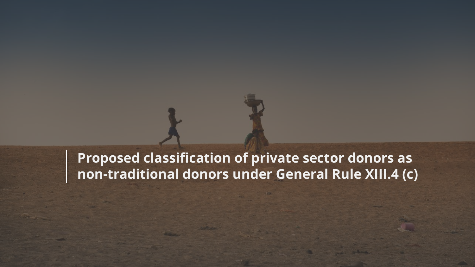# **Proposed classification of private sector donors as non-traditional donors under General Rule XIII.4 (c)**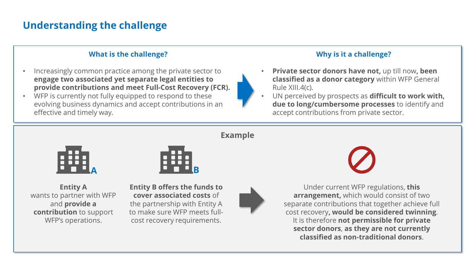## **Understanding the challenge**

#### **What is the challenge?**

- Increasingly common practice among the private sector to **engage two associated yet separate legal entities to provide contributions and meet Full-Cost Recovery (FCR).**
- WFP is currently not fully equipped to respond to these evolving business dynamics and accept contributions in an effective and timely way.

#### **Why is it a challenge?**

- **Private sector donors have not,** up till now**, been classified as a donor category** within WFP General Rule XIII.4(c).
- UN perceived by prospects as **difficult to work with, due to long/cumbersome processes** to identify and accept contributions from private sector.



**Entity A** wants to partner with WFP and **provide a contribution** to support WFP's operations.



**Entity B offers the funds to cover associated costs** of the partnership with Entity A to make sure WFP meets fullcost recovery requirements.



Under current WFP regulations, **this arrangement,** which would consist of two separate contributions that together achieve full cost recovery**, would be considered twinning**. It is therefore **not permissible for private sector donors**, **as they are not currently classified as non-traditional donors**.

**Example**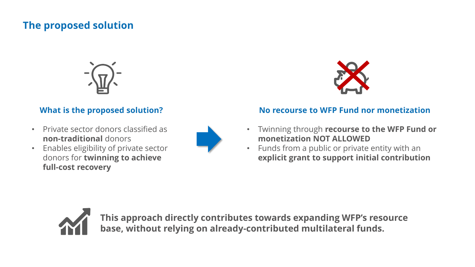### **The proposed solution**



### **What is the proposed solution?**

- Private sector donors classified as **non-traditional** donors
- Enables eligibility of private sector donors for **twinning to achieve full-cost recovery**





#### **No recourse to WFP Fund nor monetization**

- Twinning through **recourse to the WFP Fund or monetization NOT ALLOWED**
- Funds from a public or private entity with an **explicit grant to support initial contribution**



**This approach directly contributes towards expanding WFP's resource base, without relying on already-contributed multilateral funds.**